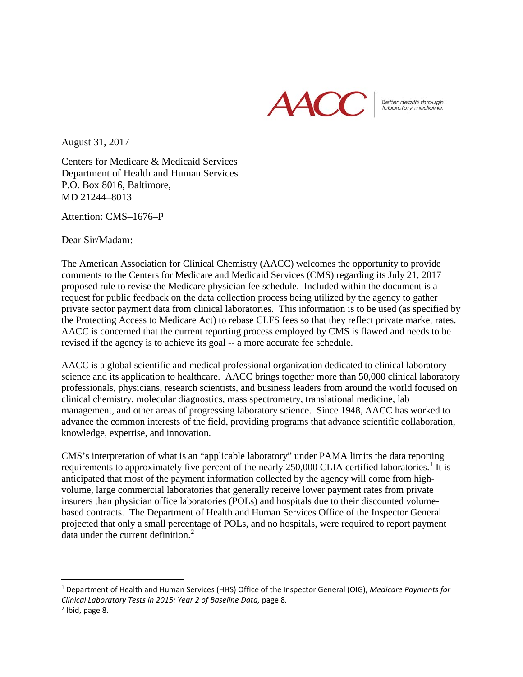

Better health through<br>laboratory medicine.

August 31, 2017

Centers for Medicare & Medicaid Services Department of Health and Human Services P.O. Box 8016, Baltimore, MD 21244–8013

Attention: CMS–1676–P

Dear Sir/Madam:

The American Association for Clinical Chemistry (AACC) welcomes the opportunity to provide comments to the Centers for Medicare and Medicaid Services (CMS) regarding its July 21, 2017 proposed rule to revise the Medicare physician fee schedule. Included within the document is a request for public feedback on the data collection process being utilized by the agency to gather private sector payment data from clinical laboratories. This information is to be used (as specified by the Protecting Access to Medicare Act) to rebase CLFS fees so that they reflect private market rates. AACC is concerned that the current reporting process employed by CMS is flawed and needs to be revised if the agency is to achieve its goal -- a more accurate fee schedule.

AACC is a global scientific and medical professional organization dedicated to clinical laboratory science and its application to healthcare. AACC brings together more than 50,000 clinical laboratory professionals, physicians, research scientists, and business leaders from around the world focused on clinical chemistry, molecular diagnostics, mass spectrometry, translational medicine, lab management, and other areas of progressing laboratory science. Since 1948, AACC has worked to advance the common interests of the field, providing programs that advance scientific collaboration, knowledge, expertise, and innovation.

CMS's interpretation of what is an "applicable laboratory" under PAMA limits the data reporting requirements to approximately five percent of the nearly  $250,000$  CLIA certified laboratories.<sup>[1](#page-0-0)</sup> It is anticipated that most of the payment information collected by the agency will come from highvolume, large commercial laboratories that generally receive lower payment rates from private insurers than physician office laboratories (POLs) and hospitals due to their discounted volumebased contracts. The Department of Health and Human Services Office of the Inspector General projected that only a small percentage of POLs, and no hospitals, were required to report payment data under the current definition. $2$ 

<span id="page-0-0"></span> <sup>1</sup> Department of Health and Human Services (HHS) Office of the Inspector General (OIG), *Medicare Payments for Clinical Laboratory Tests in 2015: Year 2 of Baseline Data,* page 8*.*

<span id="page-0-1"></span> $<sup>2</sup>$  Ibid, page 8.</sup>